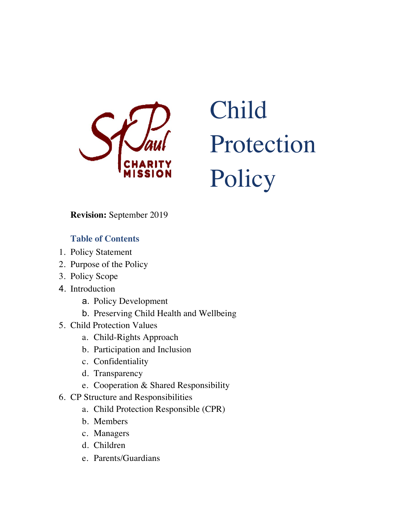

# Child Protection Policy

**Revision:** September 2019

## **Table of Contents**

- 1. Policy Statement
- 2. Purpose of the Policy
- 3. Policy Scope
- 4. Introduction
	- a. Policy Development
	- b. Preserving Child Health and Wellbeing
- 5. Child Protection Values
	- a. Child-Rights Approach
	- b. Participation and Inclusion
	- c. Confidentiality
	- d. Transparency
	- e. Cooperation & Shared Responsibility
- 6. CP Structure and Responsibilities
	- a. Child Protection Responsible (CPR)
	- b. Members
	- c. Managers
	- d. Children
	- e. Parents/Guardians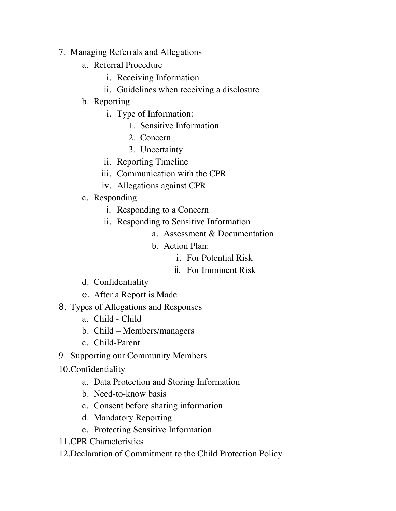- 7. Managing Referrals and Allegations
	- a. Referral Procedure
		- i. Receiving Information
		- ii. Guidelines when receiving a disclosure
	- b. Reporting
		- i. Type of Information:
			- 1. Sensitive Information
			- 2. Concern
			- 3. Uncertainty
		- ii. Reporting Timeline
		- iii. Communication with the CPR
		- iv. Allegations against CPR
	- c. Responding
		- i. Responding to a Concern
		- ii. Responding to Sensitive Information
			- a. Assessment & Documentation
			- b. Action Plan:
				- i. For Potential Risk
				- ii. For Imminent Risk
	- d. Confidentiality
	- e. After a Report is Made
- 8. Types of Allegations and Responses
	- a. Child Child
	- b. Child Members/managers
	- c. Child-Parent
- 9. Supporting our Community Members
- 10.Confidentiality
	- a. Data Protection and Storing Information
	- b. Need-to-know basis
	- c. Consent before sharing information
	- d. Mandatory Reporting
	- e. Protecting Sensitive Information
- 11.CPR Characteristics
- 12.Declaration of Commitment to the Child Protection Policy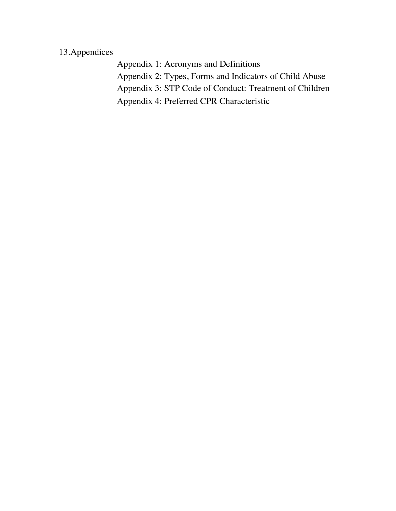# 13.Appendices

Appendix 1: Acronyms and Definitions Appendix 2: Types, Forms and Indicators of Child Abuse Appendix 3: STP Code of Conduct: Treatment of Children Appendix 4: Preferred CPR Characteristic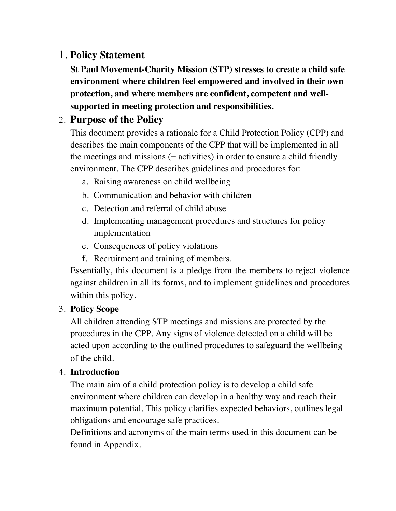# 1. **Policy Statement**

**St Paul Movement-Charity Mission (STP) stresses to create a child safe environment where children feel empowered and involved in their own protection, and where members are confident, competent and wellsupported in meeting protection and responsibilities.** 

# 2. **Purpose of the Policy**

This document provides a rationale for a Child Protection Policy (CPP) and describes the main components of the CPP that will be implemented in all the meetings and missions (= activities) in order to ensure a child friendly environment. The CPP describes guidelines and procedures for:

- a. Raising awareness on child wellbeing
- b. Communication and behavior with children
- c. Detection and referral of child abuse
- d. Implementing management procedures and structures for policy implementation
- e. Consequences of policy violations
- f. Recruitment and training of members.

Essentially, this document is a pledge from the members to reject violence against children in all its forms, and to implement guidelines and procedures within this policy.

## 3. **Policy Scope**

All children attending STP meetings and missions are protected by the procedures in the CPP. Any signs of violence detected on a child will be acted upon according to the outlined procedures to safeguard the wellbeing of the child.

## 4. **Introduction**

The main aim of a child protection policy is to develop a child safe environment where children can develop in a healthy way and reach their maximum potential. This policy clarifies expected behaviors, outlines legal obligations and encourage safe practices.

Definitions and acronyms of the main terms used in this document can be found in Appendix.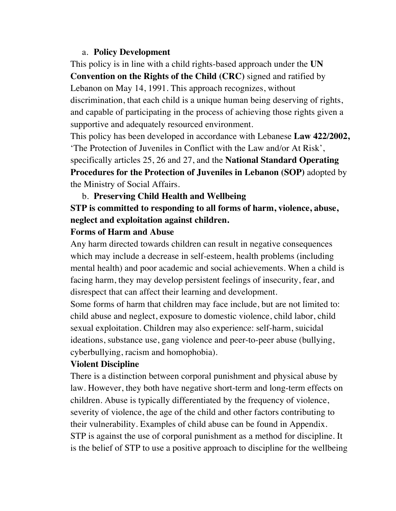#### a. **Policy Development**

This policy is in line with a child rights-based approach under the **UN Convention on the Rights of the Child (CRC)** signed and ratified by Lebanon on May 14, 1991. This approach recognizes, without discrimination, that each child is a unique human being deserving of rights, and capable of participating in the process of achieving those rights given a supportive and adequately resourced environment.

This policy has been developed in accordance with Lebanese **Law 422/2002,**  'The Protection of Juveniles in Conflict with the Law and/or At Risk', specifically articles 25, 26 and 27, and the **National Standard Operating Procedures for the Protection of Juveniles in Lebanon (SOP)** adopted by the Ministry of Social Affairs.

#### b. **Preserving Child Health and Wellbeing**

# **STP is committed to responding to all forms of harm, violence, abuse, neglect and exploitation against children.**

#### **Forms of Harm and Abuse**

Any harm directed towards children can result in negative consequences which may include a decrease in self-esteem, health problems (including mental health) and poor academic and social achievements. When a child is facing harm, they may develop persistent feelings of insecurity, fear, and disrespect that can affect their learning and development.

Some forms of harm that children may face include, but are not limited to: child abuse and neglect, exposure to domestic violence, child labor, child sexual exploitation. Children may also experience: self-harm, suicidal ideations, substance use, gang violence and peer-to-peer abuse (bullying, cyberbullying, racism and homophobia).

#### **Violent Discipline**

There is a distinction between corporal punishment and physical abuse by law. However, they both have negative short-term and long-term effects on children. Abuse is typically differentiated by the frequency of violence, severity of violence, the age of the child and other factors contributing to their vulnerability. Examples of child abuse can be found in Appendix. STP is against the use of corporal punishment as a method for discipline. It is the belief of STP to use a positive approach to discipline for the wellbeing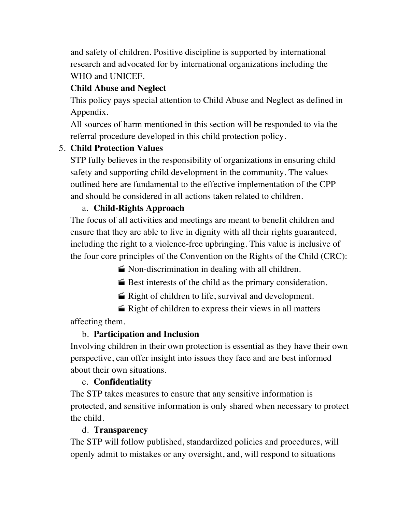and safety of children. Positive discipline is supported by international research and advocated for by international organizations including the WHO and UNICEF.

# **Child Abuse and Neglect**

This policy pays special attention to Child Abuse and Neglect as defined in Appendix.

All sources of harm mentioned in this section will be responded to via the referral procedure developed in this child protection policy.

# 5. **Child Protection Values**

STP fully believes in the responsibility of organizations in ensuring child safety and supporting child development in the community. The values outlined here are fundamental to the effective implementation of the CPP and should be considered in all actions taken related to children.

## a. **Child-Rights Approach**

The focus of all activities and meetings are meant to benefit children and ensure that they are able to live in dignity with all their rights guaranteed, including the right to a violence-free upbringing. This value is inclusive of the four core principles of the Convention on the Rights of the Child (CRC):

 $\blacktriangleright$  Non-discrimination in dealing with all children.

 $\blacktriangleright$  Best interests of the child as the primary consideration.

 $\blacktriangleright$  Right of children to life, survival and development.

 $\triangleq$  Right of children to express their views in all matters

affecting them.

# b. **Participation and Inclusion**

Involving children in their own protection is essential as they have their own perspective, can offer insight into issues they face and are best informed about their own situations.

## c. **Confidentiality**

The STP takes measures to ensure that any sensitive information is protected, and sensitive information is only shared when necessary to protect the child.

## d. **Transparency**

The STP will follow published, standardized policies and procedures, will openly admit to mistakes or any oversight, and, will respond to situations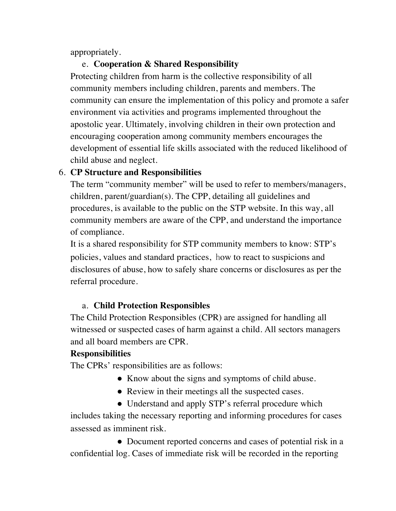appropriately.

## e. **Cooperation & Shared Responsibility**

Protecting children from harm is the collective responsibility of all community members including children, parents and members. The community can ensure the implementation of this policy and promote a safer environment via activities and programs implemented throughout the apostolic year. Ultimately, involving children in their own protection and encouraging cooperation among community members encourages the development of essential life skills associated with the reduced likelihood of child abuse and neglect.

## 6. **CP Structure and Responsibilities**

The term "community member" will be used to refer to members/managers, children, parent/guardian(s). The CPP, detailing all guidelines and procedures, is available to the public on the STP website. In this way, all community members are aware of the CPP, and understand the importance of compliance.

It is a shared responsibility for STP community members to know: STP's policies, values and standard practices, how to react to suspicions and disclosures of abuse, how to safely share concerns or disclosures as per the referral procedure.

## a. **Child Protection Responsibles**

The Child Protection Responsibles (CPR) are assigned for handling all witnessed or suspected cases of harm against a child. All sectors managers and all board members are CPR.

## **Responsibilities**

The CPRs' responsibilities are as follows:

- Know about the signs and symptoms of child abuse.
- Review in their meetings all the suspected cases.
- Understand and apply STP's referral procedure which includes taking the necessary reporting and informing procedures for cases assessed as imminent risk.

• Document reported concerns and cases of potential risk in a confidential log. Cases of immediate risk will be recorded in the reporting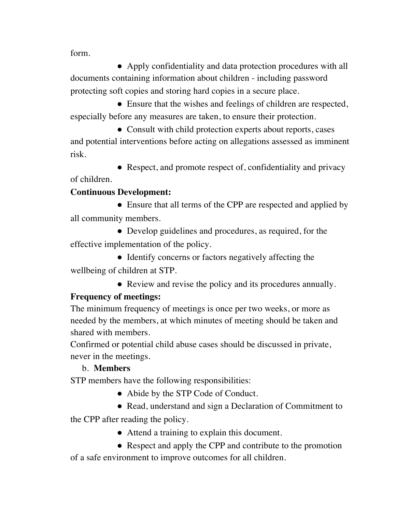form.

• Apply confidentiality and data protection procedures with all documents containing information about children - including password protecting soft copies and storing hard copies in a secure place.

• Ensure that the wishes and feelings of children are respected, especially before any measures are taken, to ensure their protection.

• Consult with child protection experts about reports, cases and potential interventions before acting on allegations assessed as imminent risk.

• Respect, and promote respect of, confidentiality and privacy

of children.

## **Continuous Development:**

• Ensure that all terms of the CPP are respected and applied by all community members.

• Develop guidelines and procedures, as required, for the effective implementation of the policy.

• Identify concerns or factors negatively affecting the wellbeing of children at STP.

● Review and revise the policy and its procedures annually.

## **Frequency of meetings:**

The minimum frequency of meetings is once per two weeks, or more as needed by the members, at which minutes of meeting should be taken and shared with members.

Confirmed or potential child abuse cases should be discussed in private, never in the meetings.

## b. **Members**

STP members have the following responsibilities:

- Abide by the STP Code of Conduct.
- Read, understand and sign a Declaration of Commitment to

the CPP after reading the policy.

● Attend a training to explain this document.

• Respect and apply the CPP and contribute to the promotion of a safe environment to improve outcomes for all children.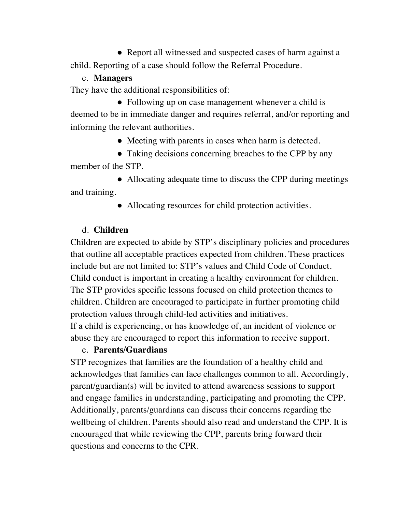• Report all witnessed and suspected cases of harm against a child. Reporting of a case should follow the Referral Procedure.

#### c. **Managers**

They have the additional responsibilities of:

• Following up on case management whenever a child is deemed to be in immediate danger and requires referral, and/or reporting and informing the relevant authorities.

• Meeting with parents in cases when harm is detected.

• Taking decisions concerning breaches to the CPP by any member of the STP.

• Allocating adequate time to discuss the CPP during meetings and training.

• Allocating resources for child protection activities.

#### d. **Children**

Children are expected to abide by STP's disciplinary policies and procedures that outline all acceptable practices expected from children. These practices include but are not limited to: STP's values and Child Code of Conduct. Child conduct is important in creating a healthy environment for children. The STP provides specific lessons focused on child protection themes to children. Children are encouraged to participate in further promoting child protection values through child-led activities and initiatives.

If a child is experiencing, or has knowledge of, an incident of violence or abuse they are encouraged to report this information to receive support.

#### e. **Parents/Guardians**

STP recognizes that families are the foundation of a healthy child and acknowledges that families can face challenges common to all. Accordingly, parent/guardian(s) will be invited to attend awareness sessions to support and engage families in understanding, participating and promoting the CPP. Additionally, parents/guardians can discuss their concerns regarding the wellbeing of children. Parents should also read and understand the CPP. It is encouraged that while reviewing the CPP, parents bring forward their questions and concerns to the CPR.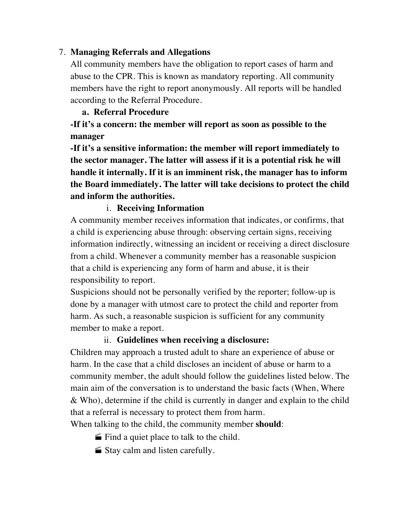#### 7. **Managing Referrals and Allegations**

All community members have the obligation to report cases of harm and abuse to the CPR. This is known as mandatory reporting. All community members have the right to report anonymously. All reports will be handled according to the Referral Procedure.

#### **a. Referral Procedure**

**-If it's a concern: the member will report as soon as possible to the manager**

**-If it's a sensitive information: the member will report immediately to the sector manager. The latter will assess if it is a potential risk he will handle it internally. If it is an imminent risk, the manager has to inform the Board immediately. The latter will take decisions to protect the child and inform the authorities.**

#### i. **Receiving Information**

A community member receives information that indicates, or confirms, that a child is experiencing abuse through: observing certain signs, receiving information indirectly, witnessing an incident or receiving a direct disclosure from a child. Whenever a community member has a reasonable suspicion that a child is experiencing any form of harm and abuse, it is their responsibility to report.

Suspicions should not be personally verified by the reporter; follow-up is done by a manager with utmost care to protect the child and reporter from harm. As such, a reasonable suspicion is sufficient for any community member to make a report.

#### ii. **Guidelines when receiving a disclosure:**

Children may approach a trusted adult to share an experience of abuse or harm. In the case that a child discloses an incident of abuse or harm to a community member, the adult should follow the guidelines listed below. The main aim of the conversation is to understand the basic facts (When, Where & Who), determine if the child is currently in danger and explain to the child that a referral is necessary to protect them from harm.

When talking to the child, the community member **should**:

- $\blacksquare$  Find a quiet place to talk to the child.
- $\blacktriangleright$  Stay calm and listen carefully.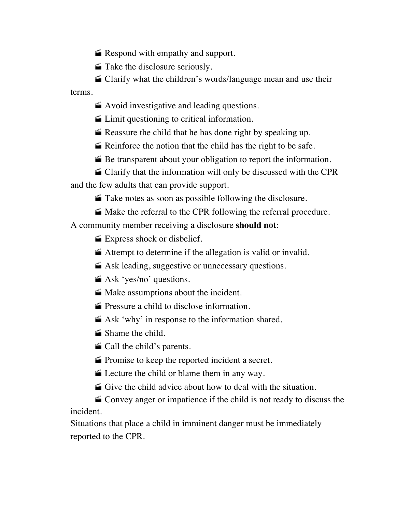$\blacktriangleright$  Respond with empathy and support.

 $\blacksquare$  Take the disclosure seriously.

• Clarify what the children's words/language mean and use their terms.

 $\blacktriangleright$  Avoid investigative and leading questions.

 $\blacksquare$  Limit questioning to critical information.

 $\blacktriangleright$  Reassure the child that he has done right by speaking up.

 $\blacktriangleright$  Reinforce the notion that the child has the right to be safe.

 $\blacktriangleright$  Be transparent about your obligation to report the information.

 $\blacksquare$  Clarify that the information will only be discussed with the CPR and the few adults that can provide support.

 $\blacktriangleright$  Take notes as soon as possible following the disclosure.

• Make the referral to the CPR following the referral procedure.

A community member receiving a disclosure **should not**:

 $\blacktriangleright$  Express shock or disbelief.

 $\blacktriangleright$  Attempt to determine if the allegation is valid or invalid.

 $\blacktriangle$  Ask leading, suggestive or unnecessary questions.

 $\triangle$  Ask 'yes/no' questions.

 $\blacktriangleright$  Make assumptions about the incident.

**Pressure a child to disclose information.** 

 $\blacktriangleright$  Ask 'why' in response to the information shared.

 $\blacksquare$  Shame the child.

 $\blacksquare$  Call the child's parents.

 $\blacktriangleright$  Promise to keep the reported incident a secret.

 $\blacktriangleright$  Lecture the child or blame them in any way.

 $\blacktriangle$  Give the child advice about how to deal with the situation.

• Convey anger or impatience if the child is not ready to discuss the incident.

Situations that place a child in imminent danger must be immediately reported to the CPR.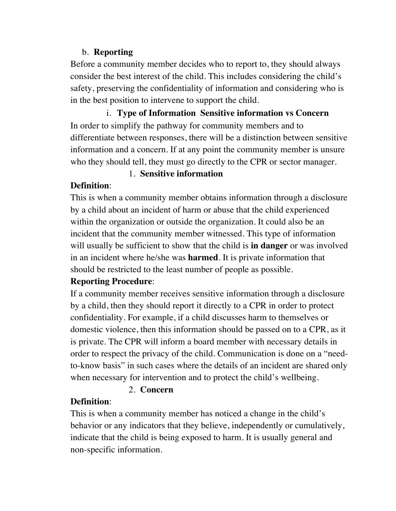#### b. **Reporting**

Before a community member decides who to report to, they should always consider the best interest of the child. This includes considering the child's safety, preserving the confidentiality of information and considering who is in the best position to intervene to support the child.

i. **Type of Information Sensitive information vs Concern** In order to simplify the pathway for community members and to differentiate between responses, there will be a distinction between sensitive information and a concern. If at any point the community member is unsure who they should tell, they must go directly to the CPR or sector manager.

## 1. **Sensitive information**

## **Definition**:

This is when a community member obtains information through a disclosure by a child about an incident of harm or abuse that the child experienced within the organization or outside the organization. It could also be an incident that the community member witnessed. This type of information will usually be sufficient to show that the child is **in danger** or was involved in an incident where he/she was **harmed**. It is private information that should be restricted to the least number of people as possible.

## **Reporting Procedure**:

If a community member receives sensitive information through a disclosure by a child, then they should report it directly to a CPR in order to protect confidentiality. For example, if a child discusses harm to themselves or domestic violence, then this information should be passed on to a CPR, as it is private. The CPR will inform a board member with necessary details in order to respect the privacy of the child. Communication is done on a "needto-know basis" in such cases where the details of an incident are shared only when necessary for intervention and to protect the child's wellbeing.

#### 2. **Concern**

# **Definition**:

This is when a community member has noticed a change in the child's behavior or any indicators that they believe, independently or cumulatively, indicate that the child is being exposed to harm. It is usually general and non-specific information.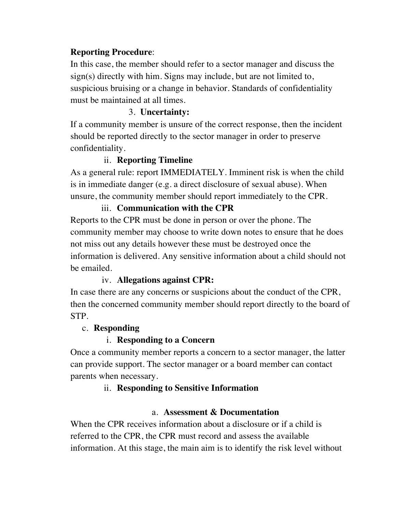#### **Reporting Procedure**:

In this case, the member should refer to a sector manager and discuss the sign(s) directly with him. Signs may include, but are not limited to, suspicious bruising or a change in behavior. Standards of confidentiality must be maintained at all times.

#### 3. **Uncertainty:**

If a community member is unsure of the correct response, then the incident should be reported directly to the sector manager in order to preserve confidentiality.

#### ii. **Reporting Timeline**

As a general rule: report IMMEDIATELY. Imminent risk is when the child is in immediate danger (e.g. a direct disclosure of sexual abuse). When unsure, the community member should report immediately to the CPR.

#### iii. **Communication with the CPR**

Reports to the CPR must be done in person or over the phone. The community member may choose to write down notes to ensure that he does not miss out any details however these must be destroyed once the information is delivered. Any sensitive information about a child should not be emailed.

#### iv. **Allegations against CPR:**

In case there are any concerns or suspicions about the conduct of the CPR, then the concerned community member should report directly to the board of STP.

#### c. **Responding**

#### i. **Responding to a Concern**

Once a community member reports a concern to a sector manager, the latter can provide support. The sector manager or a board member can contact parents when necessary.

#### ii. **Responding to Sensitive Information**

#### a. **Assessment & Documentation**

When the CPR receives information about a disclosure or if a child is referred to the CPR, the CPR must record and assess the available information. At this stage, the main aim is to identify the risk level without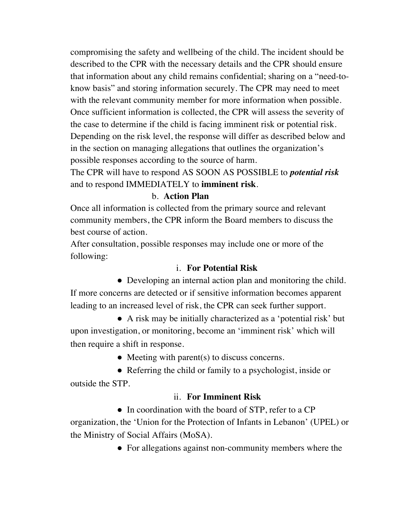compromising the safety and wellbeing of the child. The incident should be described to the CPR with the necessary details and the CPR should ensure that information about any child remains confidential; sharing on a "need-toknow basis" and storing information securely. The CPR may need to meet with the relevant community member for more information when possible. Once sufficient information is collected, the CPR will assess the severity of the case to determine if the child is facing imminent risk or potential risk. Depending on the risk level, the response will differ as described below and in the section on managing allegations that outlines the organization's possible responses according to the source of harm.

The CPR will have to respond AS SOON AS POSSIBLE to *potential risk*  and to respond IMMEDIATELY to **imminent risk**.

#### b. **Action Plan**

Once all information is collected from the primary source and relevant community members, the CPR inform the Board members to discuss the best course of action.

After consultation, possible responses may include one or more of the following:

#### i. **For Potential Risk**

• Developing an internal action plan and monitoring the child. If more concerns are detected or if sensitive information becomes apparent leading to an increased level of risk, the CPR can seek further support.

● A risk may be initially characterized as a 'potential risk' but upon investigation, or monitoring, become an 'imminent risk' which will then require a shift in response.

• Meeting with parent(s) to discuss concerns.

• Referring the child or family to a psychologist, inside or outside the STP.

#### ii. **For Imminent Risk**

• In coordination with the board of STP, refer to a CP organization, the 'Union for the Protection of Infants in Lebanon' (UPEL) or the Ministry of Social Affairs (MoSA).

• For allegations against non-community members where the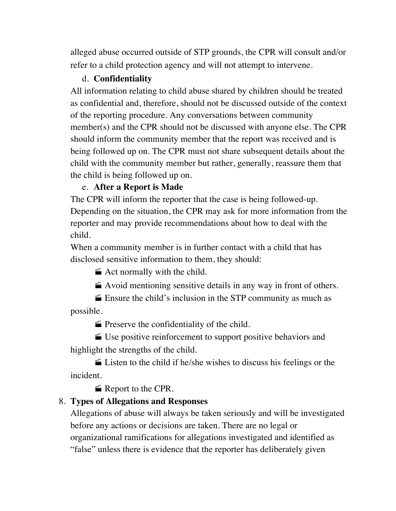alleged abuse occurred outside of STP grounds, the CPR will consult and/or refer to a child protection agency and will not attempt to intervene.

#### d. **Confidentiality**

All information relating to child abuse shared by children should be treated as confidential and, therefore, should not be discussed outside of the context of the reporting procedure. Any conversations between community member(s) and the CPR should not be discussed with anyone else. The CPR should inform the community member that the report was received and is being followed up on. The CPR must not share subsequent details about the child with the community member but rather, generally, reassure them that the child is being followed up on.

#### e. **After a Report is Made**

The CPR will inform the reporter that the case is being followed-up. Depending on the situation, the CPR may ask for more information from the reporter and may provide recommendations about how to deal with the child.

When a community member is in further contact with a child that has disclosed sensitive information to them, they should:

 $\blacktriangleright$  Act normally with the child.

 $\blacktriangleright$  Avoid mentioning sensitive details in any way in front of others.

 $\blacktriangleright$  Ensure the child's inclusion in the STP community as much as possible.

 $\blacktriangleright$  Preserve the confidentiality of the child.

· Use positive reinforcement to support positive behaviors and highlight the strengths of the child.

 $\triangleq$  Listen to the child if he/she wishes to discuss his feelings or the incident.

Report to the CPR.

#### 8. **Types of Allegations and Responses**

Allegations of abuse will always be taken seriously and will be investigated before any actions or decisions are taken. There are no legal or organizational ramifications for allegations investigated and identified as "false" unless there is evidence that the reporter has deliberately given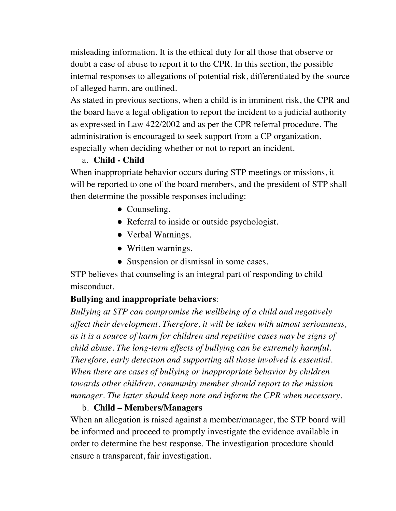misleading information. It is the ethical duty for all those that observe or doubt a case of abuse to report it to the CPR. In this section, the possible internal responses to allegations of potential risk, differentiated by the source of alleged harm, are outlined.

As stated in previous sections, when a child is in imminent risk, the CPR and the board have a legal obligation to report the incident to a judicial authority as expressed in Law 422/2002 and as per the CPR referral procedure. The administration is encouraged to seek support from a CP organization, especially when deciding whether or not to report an incident.

#### a. **Child - Child**

When inappropriate behavior occurs during STP meetings or missions, it will be reported to one of the board members, and the president of STP shall then determine the possible responses including:

- Counseling.
- Referral to inside or outside psychologist.
- Verbal Warnings.
- Written warnings.
- Suspension or dismissal in some cases.

STP believes that counseling is an integral part of responding to child misconduct.

## **Bullying and inappropriate behaviors**:

*Bullying at STP can compromise the wellbeing of a child and negatively affect their development. Therefore, it will be taken with utmost seriousness, as it is a source of harm for children and repetitive cases may be signs of child abuse. The long-term effects of bullying can be extremely harmful. Therefore, early detection and supporting all those involved is essential. When there are cases of bullying or inappropriate behavior by children towards other children, community member should report to the mission manager. The latter should keep note and inform the CPR when necessary*.

#### b. **Child – Members/Managers**

When an allegation is raised against a member/manager, the STP board will be informed and proceed to promptly investigate the evidence available in order to determine the best response. The investigation procedure should ensure a transparent, fair investigation.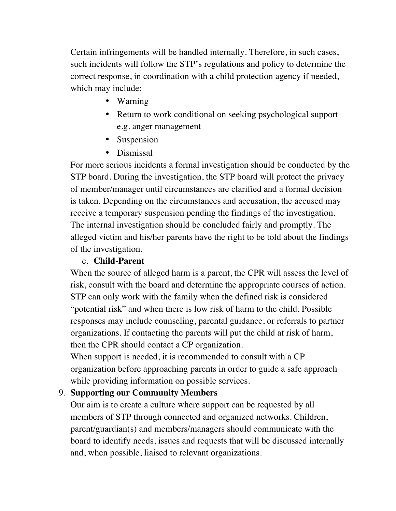Certain infringements will be handled internally. Therefore, in such cases, such incidents will follow the STP's regulations and policy to determine the correct response, in coordination with a child protection agency if needed, which may include:

- Warning
- Return to work conditional on seeking psychological support e.g. anger management
- Suspension
- Dismissal

For more serious incidents a formal investigation should be conducted by the STP board. During the investigation, the STP board will protect the privacy of member/manager until circumstances are clarified and a formal decision is taken. Depending on the circumstances and accusation, the accused may receive a temporary suspension pending the findings of the investigation. The internal investigation should be concluded fairly and promptly. The alleged victim and his/her parents have the right to be told about the findings of the investigation.

## c. **Child-Parent**

When the source of alleged harm is a parent, the CPR will assess the level of risk, consult with the board and determine the appropriate courses of action. STP can only work with the family when the defined risk is considered "potential risk" and when there is low risk of harm to the child. Possible responses may include counseling, parental guidance, or referrals to partner organizations. If contacting the parents will put the child at risk of harm, then the CPR should contact a CP organization.

When support is needed, it is recommended to consult with a CP organization before approaching parents in order to guide a safe approach while providing information on possible services.

#### 9. **Supporting our Community Members**

Our aim is to create a culture where support can be requested by all members of STP through connected and organized networks. Children, parent/guardian(s) and members/managers should communicate with the board to identify needs, issues and requests that will be discussed internally and, when possible, liaised to relevant organizations.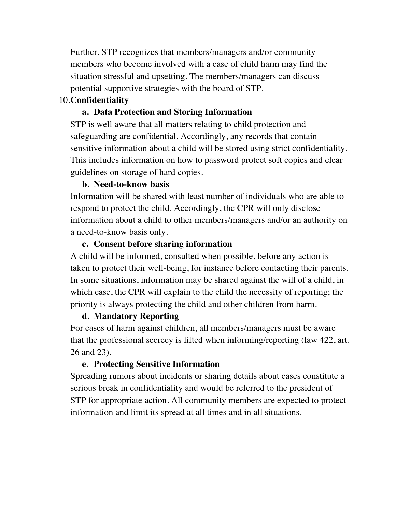Further, STP recognizes that members/managers and/or community members who become involved with a case of child harm may find the situation stressful and upsetting. The members/managers can discuss potential supportive strategies with the board of STP.

#### 10.**Confidentiality**

#### **a. Data Protection and Storing Information**

STP is well aware that all matters relating to child protection and safeguarding are confidential. Accordingly, any records that contain sensitive information about a child will be stored using strict confidentiality. This includes information on how to password protect soft copies and clear guidelines on storage of hard copies.

#### **b. Need-to-know basis**

Information will be shared with least number of individuals who are able to respond to protect the child. Accordingly, the CPR will only disclose information about a child to other members/managers and/or an authority on a need-to-know basis only.

#### **c. Consent before sharing information**

A child will be informed, consulted when possible, before any action is taken to protect their well-being, for instance before contacting their parents. In some situations, information may be shared against the will of a child, in which case, the CPR will explain to the child the necessity of reporting; the priority is always protecting the child and other children from harm.

#### **d. Mandatory Reporting**

For cases of harm against children, all members/managers must be aware that the professional secrecy is lifted when informing/reporting (law 422, art. 26 and 23).

#### **e. Protecting Sensitive Information**

Spreading rumors about incidents or sharing details about cases constitute a serious break in confidentiality and would be referred to the president of STP for appropriate action. All community members are expected to protect information and limit its spread at all times and in all situations.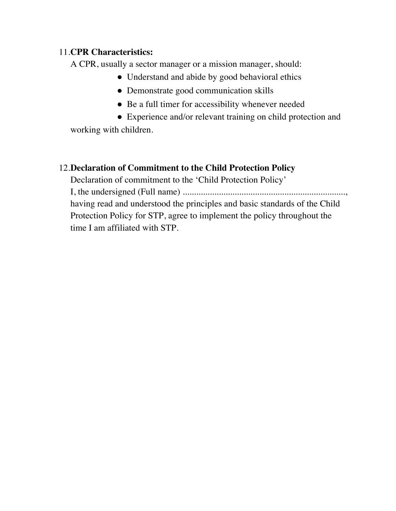#### 11.**CPR Characteristics:**

A CPR, usually a sector manager or a mission manager, should:

- Understand and abide by good behavioral ethics
- Demonstrate good communication skills
- Be a full timer for accessibility whenever needed
- Experience and/or relevant training on child protection and

working with children.

# 12.**Declaration of Commitment to the Child Protection Policy**

Declaration of commitment to the 'Child Protection Policy' I, the undersigned (Full name) ........................................................................, having read and understood the principles and basic standards of the Child Protection Policy for STP, agree to implement the policy throughout the time I am affiliated with STP.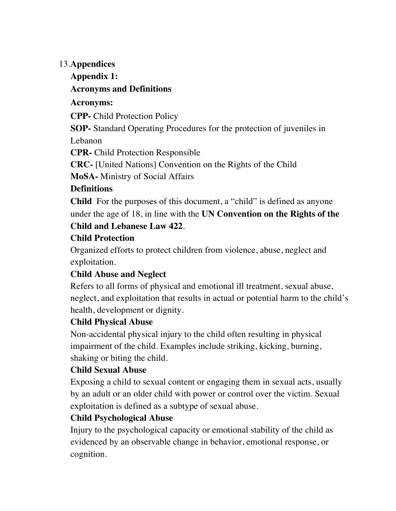#### 13.**Appendices**

## **Appendix 1:**

## **Acronyms and Definitions**

## **Acronyms:**

**CPP-** Child Protection Policy

**SOP-** Standard Operating Procedures for the protection of juveniles in Lebanon

**CPR-** Child Protection Responsible

**CRC-** [United Nations] Convention on the Rights of the Child

**MoSA-** Ministry of Social Affairs

## **Definitions**

**Child** For the purposes of this document, a "child" is defined as anyone under the age of 18, in line with the **UN Convention on the Rights of the** 

## **Child and Lebanese Law 422**.

## **Child Protection**

Organized efforts to protect children from violence, abuse, neglect and exploitation.

# **Child Abuse and Neglect**

Refers to all forms of physical and emotional ill treatment, sexual abuse, neglect, and exploitation that results in actual or potential harm to the child's health, development or dignity.

## **Child Physical Abuse**

Non-accidental physical injury to the child often resulting in physical impairment of the child. Examples include striking, kicking, burning, shaking or biting the child.

## **Child Sexual Abuse**

Exposing a child to sexual content or engaging them in sexual acts, usually by an adult or an older child with power or control over the victim. Sexual exploitation is defined as a subtype of sexual abuse.

## **Child Psychological Abuse**

Injury to the psychological capacity or emotional stability of the child as evidenced by an observable change in behavior, emotional response, or cognition.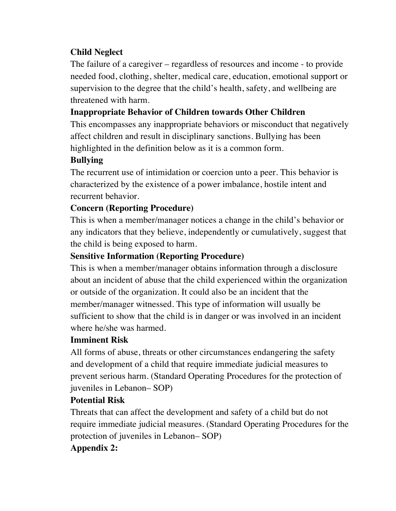## **Child Neglect**

The failure of a caregiver – regardless of resources and income - to provide needed food, clothing, shelter, medical care, education, emotional support or supervision to the degree that the child's health, safety, and wellbeing are threatened with harm.

## **Inappropriate Behavior of Children towards Other Children**

This encompasses any inappropriate behaviors or misconduct that negatively affect children and result in disciplinary sanctions. Bullying has been highlighted in the definition below as it is a common form.

## **Bullying**

The recurrent use of intimidation or coercion unto a peer. This behavior is characterized by the existence of a power imbalance, hostile intent and recurrent behavior.

## **Concern (Reporting Procedure)**

This is when a member/manager notices a change in the child's behavior or any indicators that they believe, independently or cumulatively, suggest that the child is being exposed to harm.

## **Sensitive Information (Reporting Procedure)**

This is when a member/manager obtains information through a disclosure about an incident of abuse that the child experienced within the organization or outside of the organization. It could also be an incident that the member/manager witnessed. This type of information will usually be sufficient to show that the child is in danger or was involved in an incident where he/she was harmed.

#### **Imminent Risk**

All forms of abuse, threats or other circumstances endangering the safety and development of a child that require immediate judicial measures to prevent serious harm. (Standard Operating Procedures for the protection of juveniles in Lebanon– SOP)

#### **Potential Risk**

Threats that can affect the development and safety of a child but do not require immediate judicial measures. (Standard Operating Procedures for the protection of juveniles in Lebanon– SOP)

## **Appendix 2:**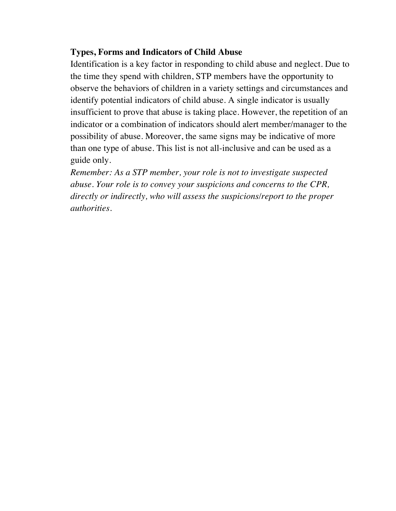#### **Types, Forms and Indicators of Child Abuse**

Identification is a key factor in responding to child abuse and neglect. Due to the time they spend with children, STP members have the opportunity to observe the behaviors of children in a variety settings and circumstances and identify potential indicators of child abuse. A single indicator is usually insufficient to prove that abuse is taking place. However, the repetition of an indicator or a combination of indicators should alert member/manager to the possibility of abuse. Moreover, the same signs may be indicative of more than one type of abuse. This list is not all-inclusive and can be used as a guide only.

*Remember: As a STP member, your role is not to investigate suspected abuse. Your role is to convey your suspicions and concerns to the CPR, directly or indirectly, who will assess the suspicions/report to the proper authorities.*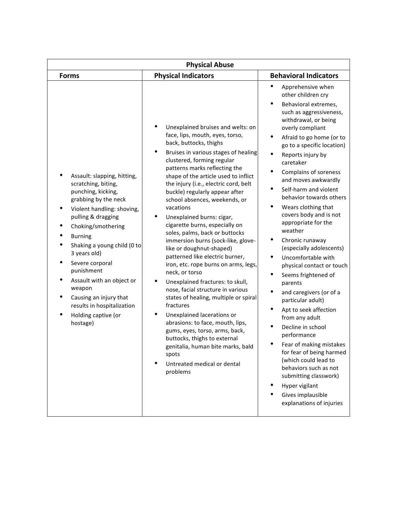| <b>Physical Abuse</b>                                                                                                                                                                                                                                                                                                                                                                                          |                                                                                                                                                                                                                                                                                                                                                                                                                                                                                                                                                                                                                                                                                                                                                                                                                                                                                                                                                                                                              |                                                                                                                                                                                                                                                                                                                                                                                                                                                                                                                                                                                                                                                                                                                                                                                                                                                                                                                                 |  |  |  |
|----------------------------------------------------------------------------------------------------------------------------------------------------------------------------------------------------------------------------------------------------------------------------------------------------------------------------------------------------------------------------------------------------------------|--------------------------------------------------------------------------------------------------------------------------------------------------------------------------------------------------------------------------------------------------------------------------------------------------------------------------------------------------------------------------------------------------------------------------------------------------------------------------------------------------------------------------------------------------------------------------------------------------------------------------------------------------------------------------------------------------------------------------------------------------------------------------------------------------------------------------------------------------------------------------------------------------------------------------------------------------------------------------------------------------------------|---------------------------------------------------------------------------------------------------------------------------------------------------------------------------------------------------------------------------------------------------------------------------------------------------------------------------------------------------------------------------------------------------------------------------------------------------------------------------------------------------------------------------------------------------------------------------------------------------------------------------------------------------------------------------------------------------------------------------------------------------------------------------------------------------------------------------------------------------------------------------------------------------------------------------------|--|--|--|
| <b>Forms</b>                                                                                                                                                                                                                                                                                                                                                                                                   | <b>Physical Indicators</b>                                                                                                                                                                                                                                                                                                                                                                                                                                                                                                                                                                                                                                                                                                                                                                                                                                                                                                                                                                                   | <b>Behavioral Indicators</b>                                                                                                                                                                                                                                                                                                                                                                                                                                                                                                                                                                                                                                                                                                                                                                                                                                                                                                    |  |  |  |
| Assault: slapping, hitting,<br>scratching, biting,<br>punching, kicking,<br>grabbing by the neck<br>Violent handling: shoving,<br>pulling & dragging<br>Choking/smothering<br><b>Burning</b><br>Shaking a young child (0 to<br>3 years old)<br>Severe corporal<br>punishment<br>Assault with an object or<br>weapon<br>Causing an injury that<br>results in hospitalization<br>Holding captive (or<br>hostage) | Unexplained bruises and welts: on<br>face, lips, mouth, eyes, torso,<br>back, buttocks, thighs<br>Bruises in various stages of healing<br>clustered, forming regular<br>patterns marks reflecting the<br>shape of the article used to inflict<br>the injury (i.e., electric cord, belt<br>buckle) regularly appear after<br>school absences, weekends, or<br>vacations<br>Unexplained burns: cigar,<br>٠<br>cigarette burns, especially on<br>soles, palms, back or buttocks<br>immersion burns (sock-like, glove-<br>like or doughnut-shaped)<br>patterned like electric burner,<br>iron, etc. rope burns on arms, legs,<br>neck, or torso<br>Unexplained fractures: to skull,<br>nose, facial structure in various<br>states of healing, multiple or spiral<br>fractures<br>Unexplained lacerations or<br>٠<br>abrasions: to face, mouth, lips,<br>gums, eyes, torso, arms, back,<br>buttocks, thighs to external<br>genitalia, human bite marks, bald<br>spots<br>Untreated medical or dental<br>problems | Apprehensive when<br>other children cry<br>Behavioral extremes,<br>such as aggressiveness,<br>withdrawal, or being<br>overly compliant<br>Afraid to go home (or to<br>go to a specific location)<br>Reports injury by<br>caretaker<br>Complains of soreness<br>and moves awkwardly<br>Self-harm and violent<br>behavior towards others<br>٠<br>Wears clothing that<br>covers body and is not<br>appropriate for the<br>weather<br>Chronic runaway<br>(especially adolescents)<br>$\bullet$<br>Uncomfortable with<br>physical contact or touch<br>$\bullet$<br>Seems frightened of<br>parents<br>and caregivers (or of a<br>particular adult)<br>Apt to seek affection<br>from any adult<br>Decline in school<br>performance<br>Fear of making mistakes<br>for fear of being harmed<br>(which could lead to<br>behaviors such as not<br>submitting classwork)<br>Hyper vigilant<br>Gives implausible<br>explanations of injuries |  |  |  |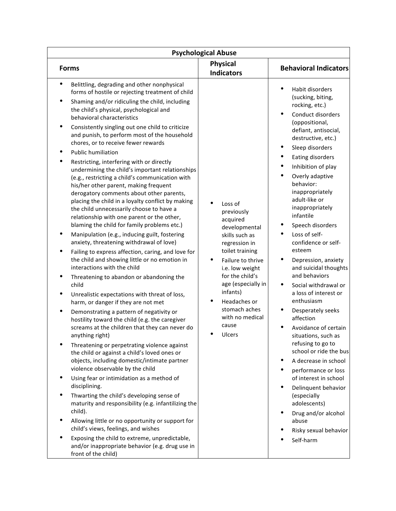| <b>Psychological Abuse</b>                                                                                                                                                                                                                                                                                                                                                                                                                                                                                                                                                                                                                                                                                                                                                                                                                                                                                                                                                                                                                                                                                                                                                                                                                                                                                                                                                                                                                                                                                                                                                                                                                                                                                                                                                                                                                                                                                                                                                                                     |                                                                                                                                                                                                                                                                                           |                                                                                                                                                                                                                                                                                                                                                                                                                                                                                                                                                                                                                                                                                                                                                                                                                                                               |  |  |  |
|----------------------------------------------------------------------------------------------------------------------------------------------------------------------------------------------------------------------------------------------------------------------------------------------------------------------------------------------------------------------------------------------------------------------------------------------------------------------------------------------------------------------------------------------------------------------------------------------------------------------------------------------------------------------------------------------------------------------------------------------------------------------------------------------------------------------------------------------------------------------------------------------------------------------------------------------------------------------------------------------------------------------------------------------------------------------------------------------------------------------------------------------------------------------------------------------------------------------------------------------------------------------------------------------------------------------------------------------------------------------------------------------------------------------------------------------------------------------------------------------------------------------------------------------------------------------------------------------------------------------------------------------------------------------------------------------------------------------------------------------------------------------------------------------------------------------------------------------------------------------------------------------------------------------------------------------------------------------------------------------------------------|-------------------------------------------------------------------------------------------------------------------------------------------------------------------------------------------------------------------------------------------------------------------------------------------|---------------------------------------------------------------------------------------------------------------------------------------------------------------------------------------------------------------------------------------------------------------------------------------------------------------------------------------------------------------------------------------------------------------------------------------------------------------------------------------------------------------------------------------------------------------------------------------------------------------------------------------------------------------------------------------------------------------------------------------------------------------------------------------------------------------------------------------------------------------|--|--|--|
| <b>Forms</b>                                                                                                                                                                                                                                                                                                                                                                                                                                                                                                                                                                                                                                                                                                                                                                                                                                                                                                                                                                                                                                                                                                                                                                                                                                                                                                                                                                                                                                                                                                                                                                                                                                                                                                                                                                                                                                                                                                                                                                                                   | <b>Physical</b><br><b>Indicators</b>                                                                                                                                                                                                                                                      | <b>Behavioral Indicators</b>                                                                                                                                                                                                                                                                                                                                                                                                                                                                                                                                                                                                                                                                                                                                                                                                                                  |  |  |  |
| Belittling, degrading and other nonphysical<br>forms of hostile or rejecting treatment of child<br>$\bullet$<br>Shaming and/or ridiculing the child, including<br>the child's physical, psychological and<br>behavioral characteristics<br>Consistently singling out one child to criticize<br>and punish, to perform most of the household<br>chores, or to receive fewer rewards<br><b>Public humiliation</b><br>Restricting, interfering with or directly<br>undermining the child's important relationships<br>(e.g., restricting a child's communication with<br>his/her other parent, making frequent<br>derogatory comments about other parents,<br>placing the child in a loyalty conflict by making<br>the child unnecessarily choose to have a<br>relationship with one parent or the other,<br>blaming the child for family problems etc.)<br>Manipulation (e.g., inducing guilt, fostering<br>anxiety, threatening withdrawal of love)<br>Failing to express affection, caring, and love for<br>the child and showing little or no emotion in<br>interactions with the child<br>Threatening to abandon or abandoning the<br>child<br>Unrealistic expectations with threat of loss,<br>harm, or danger if they are not met<br>٠<br>Demonstrating a pattern of negativity or<br>hostility toward the child (e.g. the caregiver<br>screams at the children that they can never do<br>anything right)<br>Threatening or perpetrating violence against<br>the child or against a child's loved ones or<br>objects, including domestic/intimate partner<br>violence observable by the child<br>٠<br>Using fear or intimidation as a method of<br>disciplining.<br>Thwarting the child's developing sense of<br>٠<br>maturity and responsibility (e.g. infantilizing the<br>child).<br>Allowing little or no opportunity or support for<br>child's views, feelings, and wishes<br>Exposing the child to extreme, unpredictable,<br>and/or inappropriate behavior (e.g. drug use in<br>front of the child) | Loss of<br>previously<br>acquired<br>developmental<br>skills such as<br>regression in<br>toilet training<br>$\bullet$<br>Failure to thrive<br>i.e. low weight<br>for the child's<br>age (especially in<br>infants)<br>Headaches or<br>stomach aches<br>with no medical<br>cause<br>Ulcers | Habit disorders<br>(sucking, biting,<br>rocking, etc.)<br><b>Conduct disorders</b><br>(oppositional,<br>defiant, antisocial,<br>destructive, etc.)<br>Sleep disorders<br>Eating disorders<br>Inhibition of play<br>Overly adaptive<br>behavior:<br>inappropriately<br>adult-like or<br>inappropriately<br>infantile<br>Speech disorders<br>Loss of self-<br>confidence or self-<br>esteem<br>Depression, anxiety<br>and suicidal thoughts<br>and behaviors<br>Social withdrawal or<br>a loss of interest or<br>enthusiasm<br>Desperately seeks<br>affection<br>Avoidance of certain<br>situations, such as<br>refusing to go to<br>school or ride the bus<br>A decrease in school<br>performance or loss<br>of interest in school<br>Delinquent behavior<br>(especially<br>adolescents)<br>Drug and/or alcohol<br>abuse<br>Risky sexual behavior<br>Self-harm |  |  |  |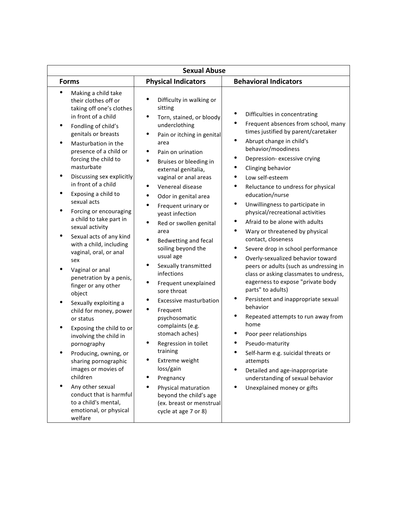| <b>Sexual Abuse</b>                                                                                                                                                                                                                                                                                                                                                                                                                                                                                                                                                                                                                                                                                                                                                                                                                                                                                              |                                                                                                                                                                                                                                                                                                                                                                                                                                                                                                                                                                                                                                                                                                                                                                                                                                |                                                                                                                                                                                                                                                                                                                                                                                                                                                                                                                                                                                                                                                                                                                                                                                                                                                                                                                                                                                                                                                                                                                      |  |  |  |
|------------------------------------------------------------------------------------------------------------------------------------------------------------------------------------------------------------------------------------------------------------------------------------------------------------------------------------------------------------------------------------------------------------------------------------------------------------------------------------------------------------------------------------------------------------------------------------------------------------------------------------------------------------------------------------------------------------------------------------------------------------------------------------------------------------------------------------------------------------------------------------------------------------------|--------------------------------------------------------------------------------------------------------------------------------------------------------------------------------------------------------------------------------------------------------------------------------------------------------------------------------------------------------------------------------------------------------------------------------------------------------------------------------------------------------------------------------------------------------------------------------------------------------------------------------------------------------------------------------------------------------------------------------------------------------------------------------------------------------------------------------|----------------------------------------------------------------------------------------------------------------------------------------------------------------------------------------------------------------------------------------------------------------------------------------------------------------------------------------------------------------------------------------------------------------------------------------------------------------------------------------------------------------------------------------------------------------------------------------------------------------------------------------------------------------------------------------------------------------------------------------------------------------------------------------------------------------------------------------------------------------------------------------------------------------------------------------------------------------------------------------------------------------------------------------------------------------------------------------------------------------------|--|--|--|
| <b>Forms</b>                                                                                                                                                                                                                                                                                                                                                                                                                                                                                                                                                                                                                                                                                                                                                                                                                                                                                                     | <b>Physical Indicators</b>                                                                                                                                                                                                                                                                                                                                                                                                                                                                                                                                                                                                                                                                                                                                                                                                     | <b>Behavioral Indicators</b>                                                                                                                                                                                                                                                                                                                                                                                                                                                                                                                                                                                                                                                                                                                                                                                                                                                                                                                                                                                                                                                                                         |  |  |  |
| Making a child take<br>their clothes off or<br>taking off one's clothes<br>in front of a child<br>Fondling of child's<br>genitals or breasts<br>Masturbation in the<br>presence of a child or<br>forcing the child to<br>masturbate<br>Discussing sex explicitly<br>in front of a child<br>Exposing a child to<br>sexual acts<br>Forcing or encouraging<br>a child to take part in<br>sexual activity<br>Sexual acts of any kind<br>with a child, including<br>vaginal, oral, or anal<br>sex<br>Vaginal or anal<br>penetration by a penis,<br>finger or any other<br>object<br>Sexually exploiting a<br>child for money, power<br>or status<br>Exposing the child to or<br>involving the child in<br>pornography<br>Producing, owning, or<br>sharing pornographic<br>images or movies of<br>children<br>Any other sexual<br>conduct that is harmful<br>to a child's mental,<br>emotional, or physical<br>welfare | Difficulty in walking or<br>sitting<br>٠<br>Torn, stained, or bloody<br>underclothing<br>٠<br>Pain or itching in genital<br>area<br>Pain on urination<br>Bruises or bleeding in<br>external genitalia,<br>vaginal or anal areas<br>Venereal disease<br>٠<br>٠<br>Odor in genital area<br>٠<br>Frequent urinary or<br>yeast infection<br>٠<br>Red or swollen genital<br>area<br>$\bullet$<br>Bedwetting and fecal<br>soiling beyond the<br>usual age<br>Sexually transmitted<br>infections<br>٠<br>Frequent unexplained<br>sore throat<br><b>Excessive masturbation</b><br>Frequent<br>psychosomatic<br>complaints (e.g.<br>stomach aches)<br>Regression in toilet<br>training<br>Extreme weight<br>loss/gain<br>Pregnancy<br>Physical maturation<br>beyond the child's age<br>(ex. breast or menstrual<br>cycle at age 7 or 8) | ٠<br>Difficulties in concentrating<br>Frequent absences from school, many<br>٠<br>times justified by parent/caretaker<br>Abrupt change in child's<br>$\bullet$<br>behavior/moodiness<br>٠<br>Depression-excessive crying<br>Clinging behavior<br>Low self-esteem<br>$\bullet$<br>Reluctance to undress for physical<br>education/nurse<br>$\bullet$<br>Unwillingness to participate in<br>physical/recreational activities<br>Afraid to be alone with adults<br>$\bullet$<br>$\bullet$<br>Wary or threatened by physical<br>contact, closeness<br>Severe drop in school performance<br>٠<br>Overly-sexualized behavior toward<br>٠<br>peers or adults (such as undressing in<br>class or asking classmates to undress,<br>eagerness to expose "private body<br>parts" to adults)<br>$\bullet$<br>Persistent and inappropriate sexual<br>behavior<br>٠<br>Repeated attempts to run away from<br>home<br>Poor peer relationships<br>Pseudo-maturity<br>Self-harm e.g. suicidal threats or<br>attempts<br>$\bullet$<br>Detailed and age-inappropriate<br>understanding of sexual behavior<br>Unexplained money or gifts |  |  |  |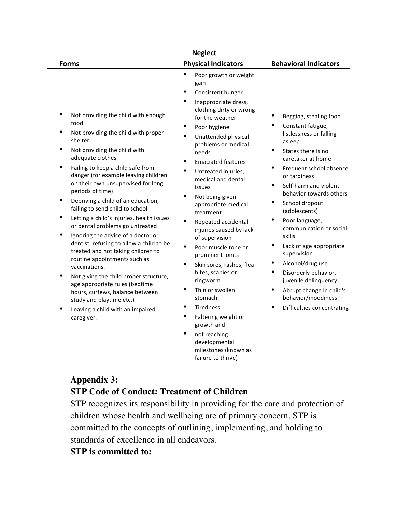|                                                                                                                                                                                                                                                                                                                                                                                                                                                                                                                                                                                                                                                                                                                                                                                                                         | <b>Neglect</b>                                                                                                                                                                                                                                                                                                                                                                                                                                                                                                                                                                                                                                                                               |                                                                                                                                                                                                                                                                                                                                                                                                                                                                                                                                                                     |
|-------------------------------------------------------------------------------------------------------------------------------------------------------------------------------------------------------------------------------------------------------------------------------------------------------------------------------------------------------------------------------------------------------------------------------------------------------------------------------------------------------------------------------------------------------------------------------------------------------------------------------------------------------------------------------------------------------------------------------------------------------------------------------------------------------------------------|----------------------------------------------------------------------------------------------------------------------------------------------------------------------------------------------------------------------------------------------------------------------------------------------------------------------------------------------------------------------------------------------------------------------------------------------------------------------------------------------------------------------------------------------------------------------------------------------------------------------------------------------------------------------------------------------|---------------------------------------------------------------------------------------------------------------------------------------------------------------------------------------------------------------------------------------------------------------------------------------------------------------------------------------------------------------------------------------------------------------------------------------------------------------------------------------------------------------------------------------------------------------------|
| <b>Forms</b>                                                                                                                                                                                                                                                                                                                                                                                                                                                                                                                                                                                                                                                                                                                                                                                                            | <b>Physical Indicators</b>                                                                                                                                                                                                                                                                                                                                                                                                                                                                                                                                                                                                                                                                   | <b>Behavioral Indicators</b>                                                                                                                                                                                                                                                                                                                                                                                                                                                                                                                                        |
| Not providing the child with enough<br>food<br>Not providing the child with proper<br>shelter<br>Not providing the child with<br>adequate clothes<br>Failing to keep a child safe from<br>danger (for example leaving children<br>on their own unsupervised for long<br>periods of time)<br>Depriving a child of an education,<br>failing to send child to school<br>Letting a child's injuries, health issues<br>or dental problems go untreated<br>Ignoring the advice of a doctor or<br>dentist, refusing to allow a child to be<br>treated and not taking children to<br>routine appointments such as<br>vaccinations.<br>Not giving the child proper structure,<br>age appropriate rules (bedtime<br>hours, curfews, balance between<br>study and playtime etc.)<br>Leaving a child with an impaired<br>caregiver. | Poor growth or weight<br>gain<br>Consistent hunger<br>Inappropriate dress,<br>clothing dirty or wrong<br>for the weather<br>Poor hygiene<br>Unattended physical<br>problems or medical<br>needs<br><b>Emaciated features</b><br>Untreated injuries,<br>medical and dental<br>issues<br>Not being given<br>appropriate medical<br>treatment<br>Repeated accidental<br>injuries caused by lack<br>of supervision<br>Poor muscle tone or<br>prominent joints<br>Skin sores, rashes, flea<br>bites, scabies or<br>ringworm<br>Thin or swollen<br>stomach<br><b>Tiredness</b><br>Faltering weight or<br>growth and<br>not reaching<br>developmental<br>milestones (known as<br>failure to thrive) | Begging, stealing food<br>Constant fatigue,<br>listlessness or falling<br>asleep<br>States there is no<br>caretaker at home<br>Frequent school absence<br>or tardiness<br>Self-harm and violent<br>$\bullet$<br>behavior towards others<br>$\bullet$<br>School dropout<br>(adolescents)<br>Poor language,<br>٠<br>communication or social<br>skills<br>$\bullet$<br>Lack of age appropriate<br>supervision<br>Alcohol/drug use<br>٠<br>Disorderly behavior,<br>juvenile delinquency<br>Abrupt change in child's<br>behavior/moodiness<br>Difficulties concentrating |

## **Appendix 3: STP Code of Conduct: Treatment of Children**

STP recognizes its responsibility in providing for the care and protection of children whose health and wellbeing are of primary concern. STP is committed to the concepts of outlining, implementing, and holding to standards of excellence in all endeavors.

#### **STP is committed to:**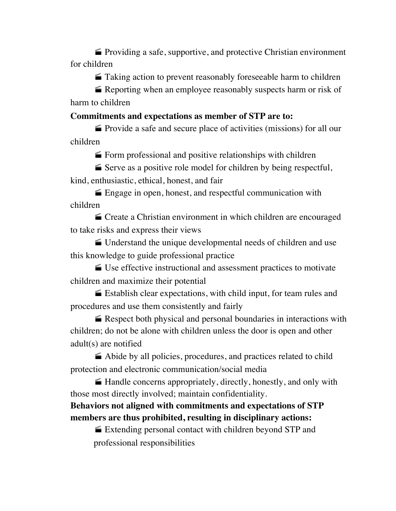$\blacktriangleright$  Providing a safe, supportive, and protective Christian environment for children

 $\blacksquare$  Taking action to prevent reasonably foreseeable harm to children

Reporting when an employee reasonably suspects harm or risk of harm to children

#### **Commitments and expectations as member of STP are to:**

• Provide a safe and secure place of activities (missions) for all our children

 $\blacktriangleright$  Form professional and positive relationships with children

 $\blacktriangleright$  Serve as a positive role model for children by being respectful, kind, enthusiastic, ethical, honest, and fair

 $\blacktriangleright$  Engage in open, honest, and respectful communication with children

· Create a Christian environment in which children are encouraged to take risks and express their views

· Understand the unique developmental needs of children and use this knowledge to guide professional practice

· Use effective instructional and assessment practices to motivate children and maximize their potential

 $\blacktriangleright$  Establish clear expectations, with child input, for team rules and procedures and use them consistently and fairly

 $\blacktriangleright$  Respect both physical and personal boundaries in interactions with children; do not be alone with children unless the door is open and other adult(s) are notified

 $\blacktriangle$  Abide by all policies, procedures, and practices related to child protection and electronic communication/social media

• Handle concerns appropriately, directly, honestly, and only with those most directly involved; maintain confidentiality.

## **Behaviors not aligned with commitments and expectations of STP members are thus prohibited, resulting in disciplinary actions:**

■ Extending personal contact with children beyond STP and professional responsibilities